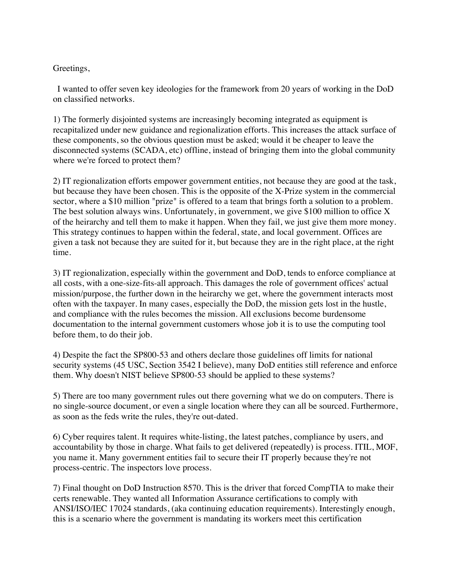## Greetings,

I wanted to offer seven key ideologies for the framework from 20 years of working in the DoD on classified networks.

1) The formerly disjointed systems are increasingly becoming integrated as equipment is recapitalized under new guidance and regionalization efforts. This increases the attack surface of these components, so the obvious question must be asked; would it be cheaper to leave the disconnected systems (SCADA, etc) offline, instead of bringing them into the global community where we're forced to protect them?

 given a task not because they are suited for it, but because they are in the right place, at the right 2) IT regionalization efforts empower government entities, not because they are good at the task, but because they have been chosen. This is the opposite of the X-Prize system in the commercial sector, where a \$10 million "prize" is offered to a team that brings forth a solution to a problem. The best solution always wins. Unfortunately, in government, we give \$100 million to office X of the heirarchy and tell them to make it happen. When they fail, we just give them more money. This strategy continues to happen within the federal, state, and local government. Offices are time.

3) IT regionalization, especially within the government and DoD, tends to enforce compliance at all costs, with a one-size-fits-all approach. This damages the role of government offices' actual mission/purpose, the further down in the heirarchy we get, where the government interacts most often with the taxpayer. In many cases, especially the DoD, the mission gets lost in the hustle, and compliance with the rules becomes the mission. All exclusions become burdensome documentation to the internal government customers whose job it is to use the computing tool before them, to do their job.

4) Despite the fact the SP800-53 and others declare those guidelines off limits for national security systems (45 USC, Section 3542 I believe), many DoD entities still reference and enforce them. Why doesn't NIST believe SP800-53 should be applied to these systems?

5) There are too many government rules out there governing what we do on computers. There is no single-source document, or even a single location where they can all be sourced. Furthermore, as soon as the feds write the rules, they're out-dated.

6) Cyber requires talent. It requires white-listing, the latest patches, compliance by users, and accountability by those in charge. What fails to get delivered (repeatedly) is process. ITIL, MOF, you name it. Many government entities fail to secure their IT properly because they're not process-centric. The inspectors love process.

7) Final thought on DoD Instruction 8570. This is the driver that forced CompTIA to make their certs renewable. They wanted all Information Assurance certifications to comply with ANSI/ISO/IEC 17024 standards, (aka continuing education requirements). Interestingly enough, this is a scenario where the government is mandating its workers meet this certification